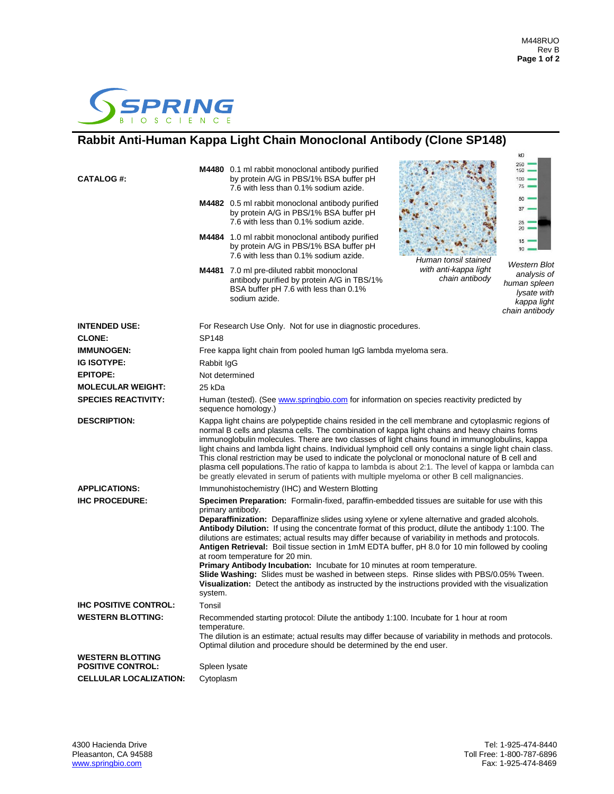$kD$ 



## **Rabbit Anti-Human Kappa Light Chain Monoclonal Antibody (Clone SP148)**

|                               |                                                                                                                                                                                                                                                                                                                                                                                                                                                                                                                                                                                                                                                                                                                                |                                                                                                                                                                                                                                                                                                                                                                                                                                                                                                                                                                                                                                                                                                                                                            |                                         | kD                                                                                          |  |
|-------------------------------|--------------------------------------------------------------------------------------------------------------------------------------------------------------------------------------------------------------------------------------------------------------------------------------------------------------------------------------------------------------------------------------------------------------------------------------------------------------------------------------------------------------------------------------------------------------------------------------------------------------------------------------------------------------------------------------------------------------------------------|------------------------------------------------------------------------------------------------------------------------------------------------------------------------------------------------------------------------------------------------------------------------------------------------------------------------------------------------------------------------------------------------------------------------------------------------------------------------------------------------------------------------------------------------------------------------------------------------------------------------------------------------------------------------------------------------------------------------------------------------------------|-----------------------------------------|---------------------------------------------------------------------------------------------|--|
| <b>CATALOG#:</b>              |                                                                                                                                                                                                                                                                                                                                                                                                                                                                                                                                                                                                                                                                                                                                | M4480 0.1 ml rabbit monoclonal antibody purified<br>by protein A/G in PBS/1% BSA buffer pH<br>7.6 with less than 0.1% sodium azide.                                                                                                                                                                                                                                                                                                                                                                                                                                                                                                                                                                                                                        |                                         | 250<br>150<br>$100 -$<br>$75 =$                                                             |  |
|                               |                                                                                                                                                                                                                                                                                                                                                                                                                                                                                                                                                                                                                                                                                                                                | M4482 0.5 ml rabbit monoclonal antibody purified<br>by protein A/G in PBS/1% BSA buffer pH<br>7.6 with less than 0.1% sodium azide.                                                                                                                                                                                                                                                                                                                                                                                                                                                                                                                                                                                                                        |                                         | 50<br>$37 =$<br>$25 -$<br>20                                                                |  |
|                               |                                                                                                                                                                                                                                                                                                                                                                                                                                                                                                                                                                                                                                                                                                                                | M4484 1.0 ml rabbit monoclonal antibody purified<br>by protein A/G in PBS/1% BSA buffer pH<br>7.6 with less than 0.1% sodium azide.                                                                                                                                                                                                                                                                                                                                                                                                                                                                                                                                                                                                                        | Human tonsil stained                    | 15 <sup>1</sup><br>10                                                                       |  |
|                               |                                                                                                                                                                                                                                                                                                                                                                                                                                                                                                                                                                                                                                                                                                                                | M4481 7.0 ml pre-diluted rabbit monoclonal<br>antibody purified by protein A/G in TBS/1%<br>BSA buffer pH 7.6 with less than 0.1%<br>sodium azide.                                                                                                                                                                                                                                                                                                                                                                                                                                                                                                                                                                                                         | with anti-kappa light<br>chain antibody | Western Blot<br>analysis of<br>human spleen<br>lysate with<br>kappa light<br>chain antibody |  |
| <b>INTENDED USE:</b>          | For Research Use Only. Not for use in diagnostic procedures.                                                                                                                                                                                                                                                                                                                                                                                                                                                                                                                                                                                                                                                                   |                                                                                                                                                                                                                                                                                                                                                                                                                                                                                                                                                                                                                                                                                                                                                            |                                         |                                                                                             |  |
| <b>CLONE:</b>                 | <b>SP148</b>                                                                                                                                                                                                                                                                                                                                                                                                                                                                                                                                                                                                                                                                                                                   |                                                                                                                                                                                                                                                                                                                                                                                                                                                                                                                                                                                                                                                                                                                                                            |                                         |                                                                                             |  |
| <b>IMMUNOGEN:</b>             | Free kappa light chain from pooled human IgG lambda myeloma sera.                                                                                                                                                                                                                                                                                                                                                                                                                                                                                                                                                                                                                                                              |                                                                                                                                                                                                                                                                                                                                                                                                                                                                                                                                                                                                                                                                                                                                                            |                                         |                                                                                             |  |
| <b>IG ISOTYPE:</b>            | Rabbit IqG                                                                                                                                                                                                                                                                                                                                                                                                                                                                                                                                                                                                                                                                                                                     |                                                                                                                                                                                                                                                                                                                                                                                                                                                                                                                                                                                                                                                                                                                                                            |                                         |                                                                                             |  |
| <b>EPITOPE:</b>               | Not determined                                                                                                                                                                                                                                                                                                                                                                                                                                                                                                                                                                                                                                                                                                                 |                                                                                                                                                                                                                                                                                                                                                                                                                                                                                                                                                                                                                                                                                                                                                            |                                         |                                                                                             |  |
| <b>MOLECULAR WEIGHT:</b>      | 25 kDa                                                                                                                                                                                                                                                                                                                                                                                                                                                                                                                                                                                                                                                                                                                         |                                                                                                                                                                                                                                                                                                                                                                                                                                                                                                                                                                                                                                                                                                                                                            |                                         |                                                                                             |  |
| <b>SPECIES REACTIVITY:</b>    | Human (tested). (See www.springbio.com for information on species reactivity predicted by<br>sequence homology.)                                                                                                                                                                                                                                                                                                                                                                                                                                                                                                                                                                                                               |                                                                                                                                                                                                                                                                                                                                                                                                                                                                                                                                                                                                                                                                                                                                                            |                                         |                                                                                             |  |
| <b>DESCRIPTION:</b>           | Kappa light chains are polypeptide chains resided in the cell membrane and cytoplasmic regions of<br>normal B cells and plasma cells. The combination of kappa light chains and heavy chains forms<br>immunoglobulin molecules. There are two classes of light chains found in immunoglobulins, kappa<br>light chains and lambda light chains. Individual lymphoid cell only contains a single light chain class.<br>This clonal restriction may be used to indicate the polyclonal or monoclonal nature of B cell and<br>plasma cell populations. The ratio of kappa to lambda is about 2:1. The level of kappa or lambda can<br>be greatly elevated in serum of patients with multiple myeloma or other B cell malignancies. |                                                                                                                                                                                                                                                                                                                                                                                                                                                                                                                                                                                                                                                                                                                                                            |                                         |                                                                                             |  |
| <b>APPLICATIONS:</b>          | Immunohistochemistry (IHC) and Western Blotting                                                                                                                                                                                                                                                                                                                                                                                                                                                                                                                                                                                                                                                                                |                                                                                                                                                                                                                                                                                                                                                                                                                                                                                                                                                                                                                                                                                                                                                            |                                         |                                                                                             |  |
| <b>IHC PROCEDURE:</b>         | Specimen Preparation: Formalin-fixed, paraffin-embedded tissues are suitable for use with this                                                                                                                                                                                                                                                                                                                                                                                                                                                                                                                                                                                                                                 |                                                                                                                                                                                                                                                                                                                                                                                                                                                                                                                                                                                                                                                                                                                                                            |                                         |                                                                                             |  |
|                               | system.                                                                                                                                                                                                                                                                                                                                                                                                                                                                                                                                                                                                                                                                                                                        | primary antibody.<br>Deparaffinization: Deparaffinize slides using xylene or xylene alternative and graded alcohols.<br>Antibody Dilution: If using the concentrate format of this product, dilute the antibody 1:100. The<br>dilutions are estimates; actual results may differ because of variability in methods and protocols.<br>Antigen Retrieval: Boil tissue section in 1mM EDTA buffer, pH 8.0 for 10 min followed by cooling<br>at room temperature for 20 min.<br>Primary Antibody Incubation: Incubate for 10 minutes at room temperature.<br>Slide Washing: Slides must be washed in between steps. Rinse slides with PBS/0.05% Tween.<br>Visualization: Detect the antibody as instructed by the instructions provided with the visualization |                                         |                                                                                             |  |
| <b>IHC POSITIVE CONTROL:</b>  | Tonsil                                                                                                                                                                                                                                                                                                                                                                                                                                                                                                                                                                                                                                                                                                                         |                                                                                                                                                                                                                                                                                                                                                                                                                                                                                                                                                                                                                                                                                                                                                            |                                         |                                                                                             |  |
| <b>WESTERN BLOTTING:</b>      | temperature.                                                                                                                                                                                                                                                                                                                                                                                                                                                                                                                                                                                                                                                                                                                   | Recommended starting protocol: Dilute the antibody 1:100. Incubate for 1 hour at room<br>The dilution is an estimate; actual results may differ because of variability in methods and protocols.<br>Optimal dilution and procedure should be determined by the end user.                                                                                                                                                                                                                                                                                                                                                                                                                                                                                   |                                         |                                                                                             |  |
| <b>WESTERN BLOTTING</b>       |                                                                                                                                                                                                                                                                                                                                                                                                                                                                                                                                                                                                                                                                                                                                |                                                                                                                                                                                                                                                                                                                                                                                                                                                                                                                                                                                                                                                                                                                                                            |                                         |                                                                                             |  |
| <b>POSITIVE CONTROL:</b>      | Spleen lysate                                                                                                                                                                                                                                                                                                                                                                                                                                                                                                                                                                                                                                                                                                                  |                                                                                                                                                                                                                                                                                                                                                                                                                                                                                                                                                                                                                                                                                                                                                            |                                         |                                                                                             |  |
| <b>CELLULAR LOCALIZATION:</b> | Cytoplasm                                                                                                                                                                                                                                                                                                                                                                                                                                                                                                                                                                                                                                                                                                                      |                                                                                                                                                                                                                                                                                                                                                                                                                                                                                                                                                                                                                                                                                                                                                            |                                         |                                                                                             |  |